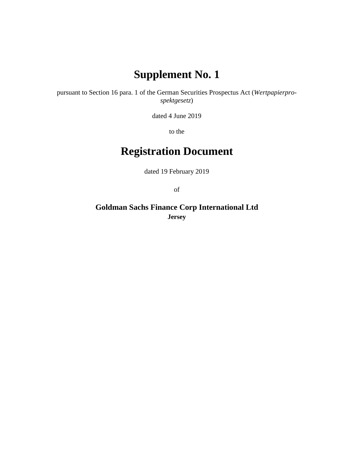# **Supplement No. 1**

pursuant to Section 16 para. 1 of the German Securities Prospectus Act (*Wertpapierprospektgesetz*)

dated 4 June 2019

to the

# **Registration Document**

dated 19 February 2019

of

**Goldman Sachs Finance Corp International Ltd Jersey**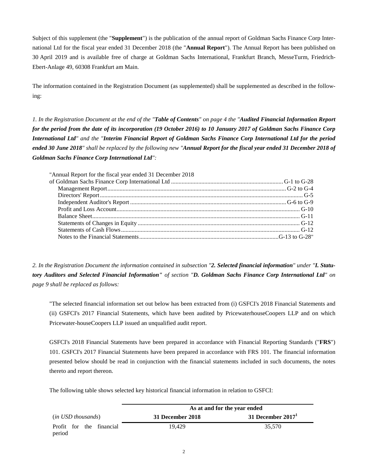Subject of this supplement (the "**Supplement**") is the publication of the annual report of Goldman Sachs Finance Corp International Ltd for the fiscal year ended 31 December 2018 (the "**Annual Report**"). The Annual Report has been published on 30 April 2019 and is available free of charge at Goldman Sachs International, Frankfurt Branch, MesseTurm, Friedrich-Ebert-Anlage 49, 60308 Frankfurt am Main.

The information contained in the Registration Document (as supplemented) shall be supplemented as described in the following:

*1. In the Registration Document at the end of the "Table of Contents" on page 4 the "Audited Financial Information Report for the period from the date of its incorporation (19 October 2016) to 10 January 2017 of Goldman Sachs Finance Corp International Ltd" and the "Interim Financial Report of Goldman Sachs Finance Corp International Ltd for the period ended 30 June 2018" shall be replaced by the following new "Annual Report for the fiscal year ended 31 December 2018 of Goldman Sachs Finance Corp International Ltd":* 

| "Annual Report for the fiscal year ended 31 December 2018 |  |
|-----------------------------------------------------------|--|
|                                                           |  |
|                                                           |  |
|                                                           |  |
|                                                           |  |
|                                                           |  |
|                                                           |  |
|                                                           |  |
|                                                           |  |
|                                                           |  |
|                                                           |  |

*2. In the Registration Document the information contained in subsection "2. Selected financial information" under "I. Statutory Auditors and Selected Financial Information" of section "D. Goldman Sachs Finance Corp International Ltd" on page 9 shall be replaced as follows:* 

"The selected financial information set out below has been extracted from (i) GSFCI's 2018 Financial Statements and (ii) GSFCI's 2017 Financial Statements, which have been audited by PricewaterhouseCoopers LLP and on which Pricewater-houseCoopers LLP issued an unqualified audit report.

GSFCI's 2018 Financial Statements have been prepared in accordance with Financial Reporting Standards ("**FRS**") 101. GSFCI's 2017 Financial Statements have been prepared in accordance with FRS 101. The financial information presented below should be read in conjunction with the financial statements included in such documents, the notes thereto and report thereon.

The following table shows selected key historical financial information in relation to GSFCI:

|                                    | As at and for the year ended |                     |  |
|------------------------------------|------------------------------|---------------------|--|
| (in USD thousands)                 | 31 December 2018             | 31 December $20171$ |  |
| Profit for the financial<br>period | 19.429                       | 35,570              |  |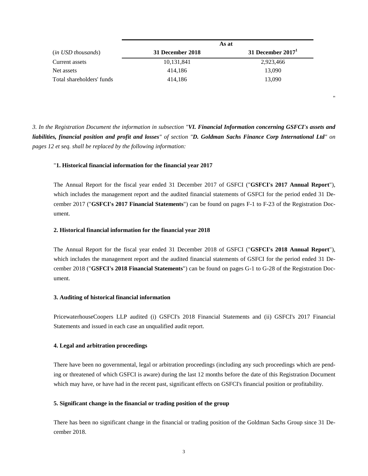| ( <i>in USD thousands</i> ) | As at            |                  |
|-----------------------------|------------------|------------------|
|                             | 31 December 2018 | 31 December 2017 |
| Current assets              | 10,131,841       | 2,923,466        |
| Net assets                  | 414.186          | 13,090           |
| Total shareholders' funds   | 414.186          | 13.090           |

*3. In the Registration Document the information in subsection "VI. Financial Information concerning GSFCI's assets and liabilities, financial position and profit and losses" of section "D. Goldman Sachs Finance Corp International Ltd" on pages 12 et seq. shall be replaced by the following information:* 

"

### "**1. Historical financial information for the financial year 2017**

The Annual Report for the fiscal year ended 31 December 2017 of GSFCI ("**GSFCI's 2017 Annual Report**"), which includes the management report and the audited financial statements of GSFCI for the period ended 31 December 2017 ("**GSFCI's 2017 Financial Statements**") can be found on pages F-1 to F-23 of the Registration Document.

#### **2. Historical financial information for the financial year 2018**

The Annual Report for the fiscal year ended 31 December 2018 of GSFCI ("**GSFCI's 2018 Annual Report**"), which includes the management report and the audited financial statements of GSFCI for the period ended 31 December 2018 ("**GSFCI's 2018 Financial Statements**") can be found on pages G-1 to G-28 of the Registration Document.

#### **3. Auditing of historical financial information**

PricewaterhouseCoopers LLP audited (i) GSFCI's 2018 Financial Statements and (ii) GSFCI's 2017 Financial Statements and issued in each case an unqualified audit report.

#### **4. Legal and arbitration proceedings**

There have been no governmental, legal or arbitration proceedings (including any such proceedings which are pending or threatened of which GSFCI is aware) during the last 12 months before the date of this Registration Document which may have, or have had in the recent past, significant effects on GSFCI's financial position or profitability.

### **5. Significant change in the financial or trading position of the group**

There has been no significant change in the financial or trading position of the Goldman Sachs Group since 31 December 2018.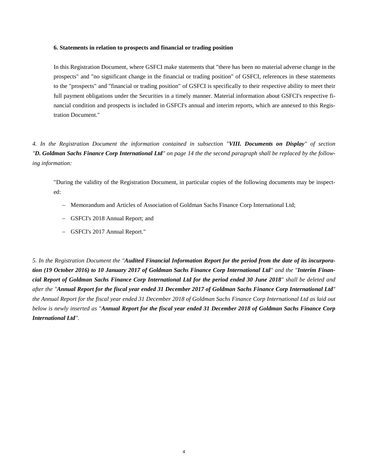#### **6. Statements in relation to prospects and financial or trading position**

In this Registration Document, where GSFCI make statements that "there has been no material adverse change in the prospects" and "no significant change in the financial or trading position" of GSFCI, references in these statements to the "prospects" and "financial or trading position" of GSFCI is specifically to their respective ability to meet their full payment obligations under the Securities in a timely manner. Material information about GSFCI's respective financial condition and prospects is included in GSFCI's annual and interim reports, which are annexed to this Registration Document."

*4. In the Registration Document the information contained in subsection "VIII. Documents on Display" of section "D. Goldman Sachs Finance Corp International Ltd" on page 14 the the second paragraph shall be replaced by the following information:* 

"During the validity of the Registration Document, in particular copies of the following documents may be inspected:

- Memorandum and Articles of Association of Goldman Sachs Finance Corp International Ltd;
- GSFCI's 2018 Annual Report; and
- GSFCI's 2017 Annual Report."

*5. In the Registration Document the "Audited Financial Information Report for the period from the date of its incurporation (19 October 2016) to 10 January 2017 of Goldman Sachs Finance Corp International Ltd" and the "Interim Financial Report of Goldman Sachs Finance Corp International Ltd for the period ended 30 June 2018" shall be deleted and after the "Annual Report for the fiscal year ended 31 December 2017 of Goldman Sachs Finance Corp International Ltd" the Annual Report for the fiscal year ended 31 December 2018 of Goldman Sachs Finance Corp International Ltd as laid out below is newly inserted as "Annual Report for the fiscal year ended 31 December 2018 of Goldman Sachs Finance Corp International Ltd".*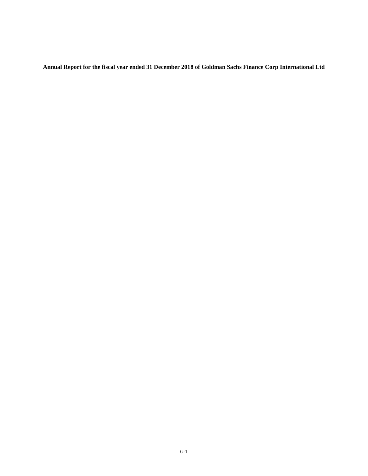**Annual Report for the fiscal year ended 31 December 2018 of Goldman Sachs Finance Corp International Ltd**